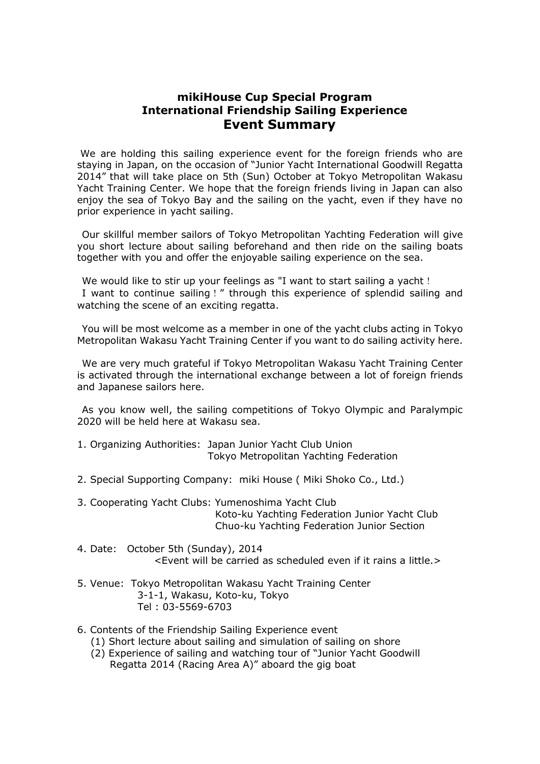## **mikiHouse Cup Special Program International Friendship Sailing Experience Event Summary**

We are holding this sailing experience event for the foreign friends who are staying in Japan, on the occasion of "Junior Yacht International Goodwill Regatta 2014" that will take place on 5th (Sun) October at Tokyo Metropolitan Wakasu Yacht Training Center. We hope that the foreign friends living in Japan can also enjoy the sea of Tokyo Bay and the sailing on the yacht, even if they have no prior experience in yacht sailing.

Our skillful member sailors of Tokyo Metropolitan Yachting Federation will give you short lecture about sailing beforehand and then ride on the sailing boats together with you and offer the enjoyable sailing experience on the sea.

We would like to stir up your feelings as "I want to start sailing a yacht! I want to continue sailing!" through this experience of splendid sailing and watching the scene of an exciting regatta.

You will be most welcome as a member in one of the yacht clubs acting in Tokyo Metropolitan Wakasu Yacht Training Center if you want to do sailing activity here.

We are very much grateful if Tokyo Metropolitan Wakasu Yacht Training Center is activated through the international exchange between a lot of foreign friends and Japanese sailors here.

As you know well, the sailing competitions of Tokyo Olympic and Paralympic 2020 will be held here at Wakasu sea.

- 1. Organizing Authorities: Japan Junior Yacht Club Union Tokyo Metropolitan Yachting Federation
- 2. Special Supporting Company: miki House ( Miki Shoko Co., Ltd.)
- 3. Cooperating Yacht Clubs: Yumenoshima Yacht Club Koto-ku Yachting Federation Junior Yacht Club Chuo-ku Yachting Federation Junior Section
- 4. Date: October 5th (Sunday), 2014 <Event will be carried as scheduled even if it rains a little.>
- 5. Venue: Tokyo Metropolitan Wakasu Yacht Training Center 3-1-1, Wakasu, Koto-ku, Tokyo Tel : 03-5569-6703
- 6. Contents of the Friendship Sailing Experience event
	- (1) Short lecture about sailing and simulation of sailing on shore
	- (2) Experience of sailing and watching tour of "Junior Yacht Goodwill Regatta 2014 (Racing Area A)" aboard the gig boat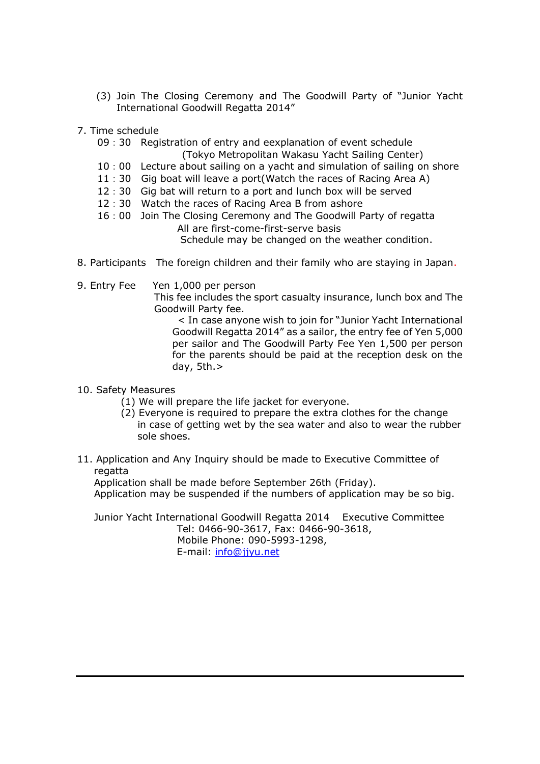- (3) Join The Closing Ceremony and The Goodwill Party of "Junior Yacht International Goodwill Regatta 2014"
- 7. Time schedule
	- 09 : 30 Registration of entry and eexplanation of event schedule
		- (Tokyo Metropolitan Wakasu Yacht Sailing Center)
	- 10:00 Lecture about sailing on a yacht and simulation of sailing on shore
	- 11:30 Gig boat will leave a port(Watch the races of Racing Area A)
	- 12:30 Gig bat will return to a port and lunch box will be served
	- 12:30 Watch the races of Racing Area B from ashore
	- 16:00 Join The Closing Ceremony and The Goodwill Party of regatta All are first-come-first-serve basis Schedule may be changed on the weather condition.
- 8. Participants The foreign children and their family who are staying in Japan.
- 9. Entry Fee Yen 1,000 per person
	- This fee includes the sport casualty insurance, lunch box and The Goodwill Party fee.

 < In case anyone wish to join for "Junior Yacht International Goodwill Regatta 2014" as a sailor, the entry fee of Yen 5,000 per sailor and The Goodwill Party Fee Yen 1,500 per person for the parents should be paid at the reception desk on the day, 5th.>

- 10. Safety Measures
	- (1) We will prepare the life jacket for everyone.
	- (2) Everyone is required to prepare the extra clothes for the change in case of getting wet by the sea water and also to wear the rubber sole shoes.
- 11. Application and Any Inquiry should be made to Executive Committee of regatta

Application shall be made before September 26th (Friday).

Application may be suspended if the numbers of application may be so big.

 Junior Yacht International Goodwill Regatta 2014 Executive Committee Tel: 0466-90-3617, Fax: 0466-90-3618, Mobile Phone: 090-5993-1298, E-mail: [info@jjyu.net](mailto:info@jjyu.net)